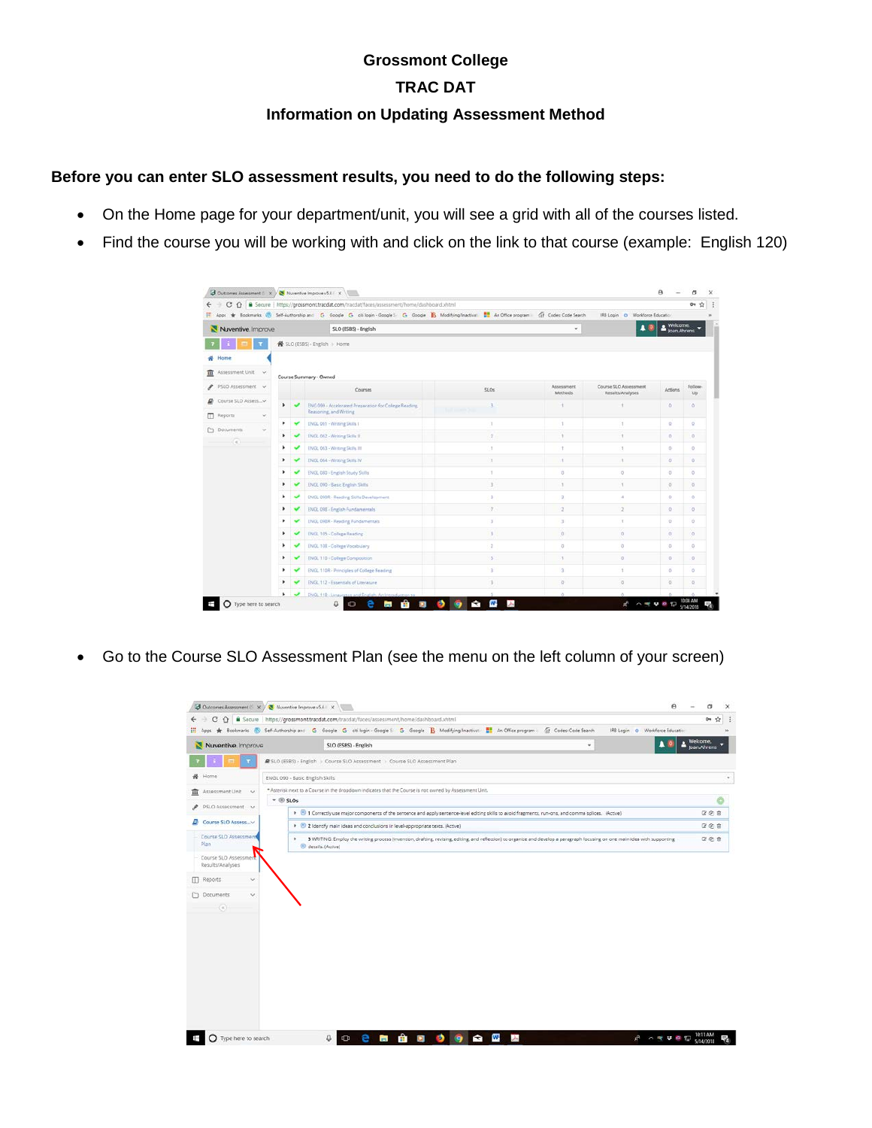## **Grossmont College**

### **TRAC DAT**

#### **Information on Updating Assessment Method**

#### **Before you can enter SLO assessment results, you need to do the following steps:**

- On the Home page for your department/unit, you will see a grid with all of the courses listed.
- Find the course you will be working with and click on the link to that course (example: English 120)

|                                           | C                                    |        |                      |                          | ↑ ● Secure   https://grossmont.tracdat.com/tracdat/faces/assessment/home/dashboard.xhtml                                                            |                |                        |                                           |                                   | ŵ<br>$\sigma$ |
|-------------------------------------------|--------------------------------------|--------|----------------------|--------------------------|-----------------------------------------------------------------------------------------------------------------------------------------------------|----------------|------------------------|-------------------------------------------|-----------------------------------|---------------|
|                                           |                                      |        |                      |                          | H Apps * Bookmarks (B) Self-Authorship and G Google G obliogin - Google L G Google B Modifying/Inactival: # An Office program (F) Codes Code Search |                |                        | IRB Login O Workforce Education           |                                   |               |
|                                           | Nuventive Improve                    |        |                      |                          | SLO (ESBS) - English                                                                                                                                |                |                        |                                           | <b>Welcome</b> ,<br>s your Ahrens |               |
|                                           |                                      |        |                      |                          | ● SLO (ESBS) · English → Home                                                                                                                       |                |                        |                                           |                                   |               |
|                                           | Home                                 |        |                      |                          |                                                                                                                                                     |                |                        |                                           |                                   |               |
|                                           |                                      |        |                      |                          |                                                                                                                                                     |                |                        |                                           |                                   |               |
| Assessment Unit<br>Course Summary - Owned |                                      |        |                      |                          |                                                                                                                                                     |                |                        |                                           |                                   |               |
|                                           | PSLO Assessment v                    |        |                      |                          | Courses                                                                                                                                             | \$0.08\$       | Assessment<br>Methods. | Course SLO Assessment<br>Results/Analyses | <b>Actions</b>                    | Follow<br>Up  |
| ₽                                         | Course SLO Assess_v                  |        | ×.                   |                          | ENG 099 - Accelerated Preparation for College Reading,                                                                                              | $\geq$         |                        |                                           | ×                                 | $\alpha$      |
| m                                         | Reports:                             | $\sim$ |                      |                          | Reasoning, and Writing                                                                                                                              |                |                        |                                           |                                   |               |
|                                           | C Documents<br>$\check{\phantom{a}}$ |        |                      |                          | ENGL 061 - Writing Skills I                                                                                                                         | $\mathbf{I}$   | $\ddagger$             | ×                                         | $\Box$                            | $\sigma$      |
|                                           | $\left( \alpha \right)$              |        | ٠                    |                          | ENGL 062 - Writing Skills II.                                                                                                                       | $\mathcal{L}$  | ¥                      | Ŧ                                         | $\Box$                            | $\alpha$      |
|                                           |                                      |        | ٠                    |                          | ENGL 063 - Writing Skills III                                                                                                                       | C.             | Ť.                     | 1                                         | O.                                | $\circ$       |
|                                           |                                      |        | ٠                    |                          | ENGL 064 - Writing Skills IV                                                                                                                        | п.             | ×                      | x                                         | G.                                | O.            |
|                                           |                                      |        | ٠                    |                          | ENGL 080 - English Study Skills                                                                                                                     |                | O.                     | $\circ$                                   | $\sigma$                          | $\circ$       |
|                                           |                                      |        | ٠                    |                          | ENGL 090 - Basic English Skills                                                                                                                     | $\mathbb{R}$   | 3                      | ×                                         | $\sigma$                          | $\alpha$      |
|                                           |                                      |        | ٠                    |                          | ENGL 090R - Reading Skills Development                                                                                                              | $\mathbb{R}^2$ | 3                      | ×.                                        | $\Omega$                          | $\circ$       |
|                                           |                                      |        | ٠                    |                          | ENGL 098 - English Fundamentals'                                                                                                                    | 35             | $\overline{2}$         | $\overline{2}$                            | $\mathbb{Q}$                      | $\circ$       |
|                                           |                                      |        | ٠                    |                          | ENGL 098R - Reading Fundamentals                                                                                                                    | $\mathcal{L}$  | $\mathbf{I}$           | $\tau$                                    | $\alpha$                          | $\circ$       |
|                                           |                                      |        | ٠                    |                          | ENGL 105 - College Reading                                                                                                                          | 3 <sup>1</sup> | $\alpha$               | $\alpha$                                  | $\alpha$                          | o.            |
|                                           |                                      |        | ٠                    |                          | ENGL 108 - College Vocabulary                                                                                                                       | $\overline{a}$ | $\overline{0}$         | O.                                        | O.                                | o.            |
|                                           |                                      |        | ۰                    |                          | ENGL 110 - College Composition                                                                                                                      | $\mathbf{S}$   | 3                      | $\overline{0}$                            | $\overline{\mathbb{G}}\,:\,$      | O.            |
|                                           |                                      |        | ٠                    |                          | <b>ENGL 110R - Principles of College Reading</b>                                                                                                    | $\overline{3}$ | 3                      | 4                                         | $\alpha$                          | $\circ$       |
|                                           |                                      |        | ٠                    |                          | ENGL 112 - Essentials of Literature                                                                                                                 | $\frac{1}{2}$  | $\alpha$               | o.                                        | Q.                                | $\alpha$      |
|                                           |                                      |        | $\ddot{\phantom{1}}$ | $\overline{\phantom{a}}$ | ENGL 118 - Linguistics and English: An Introduction to                                                                                              |                | $\Delta$               | ×                                         |                                   |               |

• Go to the Course SLO Assessment Plan (see the menu on the left column of your screen)

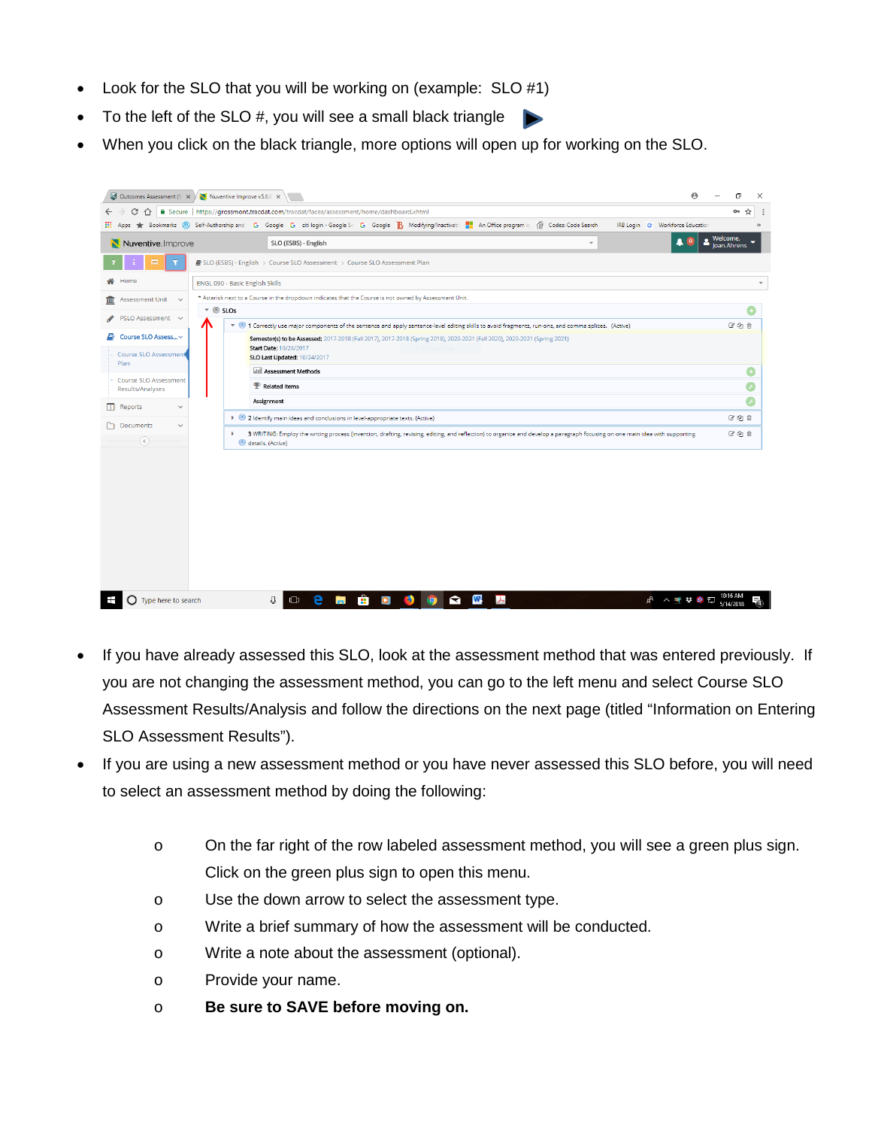- Look for the SLO that you will be working on (example: SLO #1)
- To the left of the SLO  $#$ , you will see a small black triangle
- When you click on the black triangle, more options will open up for working on the SLO.

| Outcomes Assessment (S X X Nuventive Improve v5.6.6 X   | $\boldsymbol{\Theta}$                                                                                                                                                                                  | σ                       |
|---------------------------------------------------------|--------------------------------------------------------------------------------------------------------------------------------------------------------------------------------------------------------|-------------------------|
| G<br>⇑                                                  | ■ Secure   https://grossmont.tracdat.com/tracdat/faces/assessment/home/dashboard.xhtml                                                                                                                 | ☆<br>$O_T$              |
| $\frac{111}{222}$ Apps                                  | Bookmarks (W Self-Authorship and G Google G citilogin - Google Sc G Google B Modifying/Inactivatin T An Office program is (T) Codes: Code Search<br>IRB Login @ Workforce Education                    |                         |
| Nuventive. Improve                                      | SLO (ESBS) - English<br>$\;$                                                                                                                                                                           | Welcome,<br>Joan.Ahrens |
| ⊟                                                       | ■ SLO (ESBS) - English > Course SLO Assessment > Course SLO Assessment Plan                                                                                                                            |                         |
| Home                                                    | ENGL 090 - Basic English Skills                                                                                                                                                                        |                         |
| Assessment Unit v<br>шī                                 | * Asterisk next to a Course in the dropdown indicates that the Course is not owned by Assessment Unit.                                                                                                 |                         |
| PSLO Assessment v                                       | $\bullet$ © SLOs                                                                                                                                                                                       |                         |
|                                                         | ▼ © 1 Correctly use major components of the sentence and apply sentence-level editing skills to avoid fragments, run-ons, and comma splices. (Active)<br>Л                                             | 区的自                     |
| Course SLO Assess v<br>8                                | Semester(s) to be Assessed; 2017-2018 (Fall 2017), 2017-2018 (Spring 2018), 2020-2021 (Fall 2020), 2020-2021 (Spring 2021)                                                                             |                         |
| Course SLO Assessment                                   | Start Date: 10/24/2017<br>SLO Last Updated: 10/24/2017                                                                                                                                                 |                         |
| Plan                                                    | <b>III</b> Assessment Methods                                                                                                                                                                          | G                       |
| Course SLO Assessment<br>Results/Analyses               | <b>P</b> Related Items                                                                                                                                                                                 | F                       |
| m<br>Reports<br>$\checkmark$                            | Assignment                                                                                                                                                                                             |                         |
|                                                         | > 2 Identify main ideas and conclusions in level-appropriate texts. (Active)                                                                                                                           | 図印自                     |
| Documents<br>$\checkmark$<br>$\left( \mathbf{R}\right)$ | 3 WRITING: Employ the writing process (invention, drafting, revising, editing, and reflection) to organize and develop a paragraph focusing on one main idea with supporting<br>٠<br>details. (Active) | 区的自                     |
|                                                         |                                                                                                                                                                                                        |                         |
|                                                         |                                                                                                                                                                                                        |                         |
|                                                         |                                                                                                                                                                                                        |                         |
|                                                         |                                                                                                                                                                                                        |                         |
|                                                         |                                                                                                                                                                                                        |                         |
|                                                         |                                                                                                                                                                                                        |                         |
|                                                         |                                                                                                                                                                                                        |                         |
|                                                         |                                                                                                                                                                                                        |                         |
|                                                         |                                                                                                                                                                                                        |                         |

- If you have already assessed this SLO, look at the assessment method that was entered previously. If you are not changing the assessment method, you can go to the left menu and select Course SLO Assessment Results/Analysis and follow the directions on the next page (titled "Information on Entering SLO Assessment Results").
- If you are using a new assessment method or you have never assessed this SLO before, you will need to select an assessment method by doing the following:
	- o On the far right of the row labeled assessment method, you will see a green plus sign. Click on the green plus sign to open this menu.
	- o Use the down arrow to select the assessment type.
	- o Write a brief summary of how the assessment will be conducted.
	- o Write a note about the assessment (optional).
	- o Provide your name.
	- o **Be sure to SAVE before moving on.**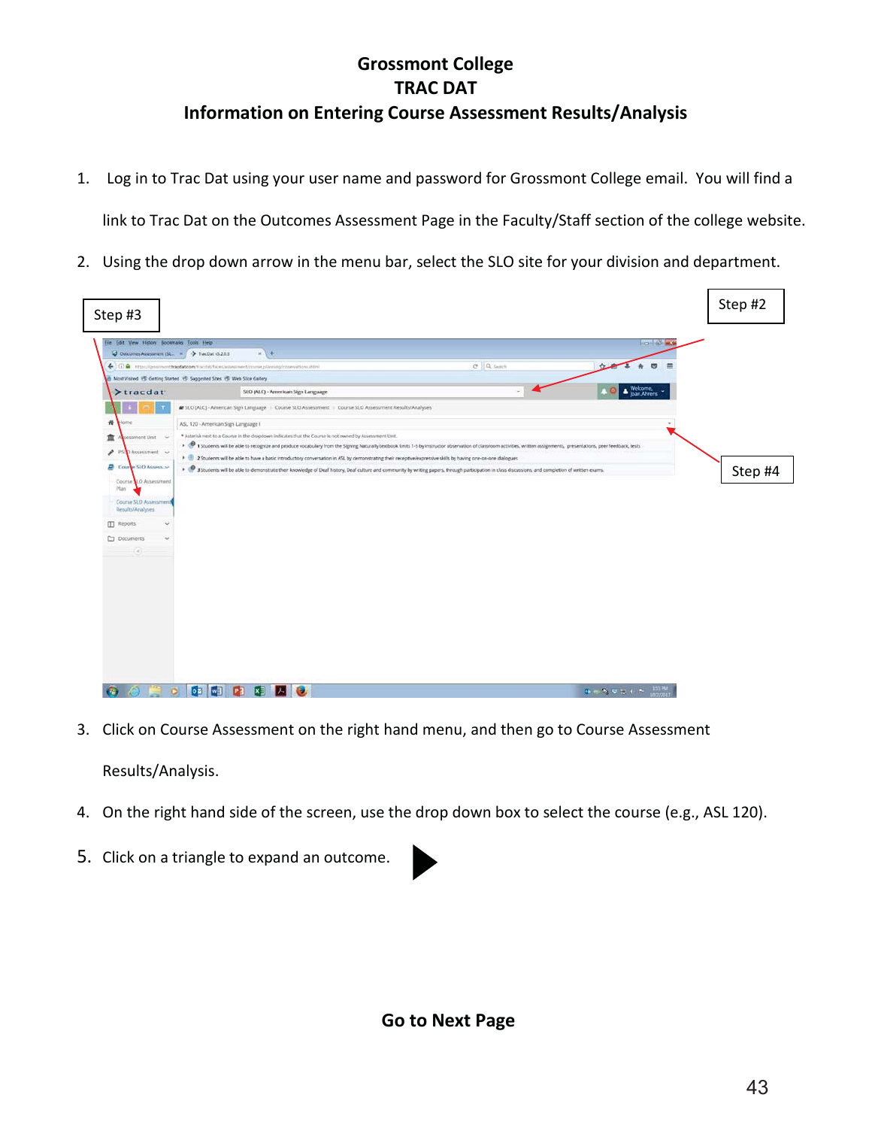# **Grossmont College TRAC DAT Information on Entering Course Assessment Results/Analysis**

1. Log in to Trac Dat using your user name and password for Grossmont College email. You will find a

link to Trac Dat on the Outcomes Assessment Page in the Faculty/Staff section of the college website.

2. Using the drop down arrow in the menu bar, select the SLO site for your division and department.

| Step #3                                                                                                                 |                                                                                                                                                                                                                           |                |                                | Step #2 |
|-------------------------------------------------------------------------------------------------------------------------|---------------------------------------------------------------------------------------------------------------------------------------------------------------------------------------------------------------------------|----------------|--------------------------------|---------|
| File Edit View History Bookmarks Tools Help<br>$\bigcup$ Outcomes Assessment (SL, $x \big/ \bigarrow$ TracDut v5.2.0.3) | $x +$                                                                                                                                                                                                                     |                | <b>The Market Street</b>       |         |
|                                                                                                                         | ← 3 G) a https://grossmont.tracdat.com/tracdat/faces/assessment/course_planning/cosenations.shtml                                                                                                                         | $C$ $Q$ Search | $\circ$<br>☆                   |         |
|                                                                                                                         | Most Vished & Getting Started . C Suggested Sites & Web Sice Gallery                                                                                                                                                      |                |                                |         |
| $\blacktriangleright$ tracdat                                                                                           | SLO (ALC) - American Sign Language                                                                                                                                                                                        |                | Welcome,                       |         |
|                                                                                                                         | B SLO (ALC) - American Sign Language - Course SLO Assessment - Course SLO Assessment Results/Analyses                                                                                                                     |                |                                |         |
| 爵<br><b>SITSE</b>                                                                                                       | ASL 120 - American Sign Language I                                                                                                                                                                                        |                |                                |         |
| 盫<br>sessment Unit                                                                                                      | * Asterisk next to a Course in the dropdown indicates that the Course is not owned by Assessment Unit.                                                                                                                    |                |                                |         |
|                                                                                                                         | > @ 1 Students will be able to recognize and produce vocabulary from the Signing Naturally textbook Units 1-5 by instructor observation of classroom activities, written assignments, presentations, peer feedback, tests |                |                                |         |
| v<br>PSLO Assessment v                                                                                                  | > U 2 Students will be able to have a basic introductory conversation in ASL by demonstrating their receptive/expressive skills by having one-on-one dialogues                                                            |                |                                |         |
| Course SLO Assessor                                                                                                     | > @ 3 Students will be able to demonstrate their knowledge of Deaf history, Deaf culture and community by writing papers, through participation in class discussions, and completion of written exams.                    |                |                                | Step #4 |
| Course 10 Assessment<br>Plan                                                                                            |                                                                                                                                                                                                                           |                |                                |         |
| Course SLD Assessment                                                                                                   |                                                                                                                                                                                                                           |                |                                |         |
| Results/Analyses                                                                                                        |                                                                                                                                                                                                                           |                |                                |         |
| <b>ID</b> Reports                                                                                                       |                                                                                                                                                                                                                           |                |                                |         |
| <b>D</b> Documents                                                                                                      |                                                                                                                                                                                                                           |                |                                |         |
| $\left( \epsilon \right)$                                                                                               |                                                                                                                                                                                                                           |                |                                |         |
|                                                                                                                         |                                                                                                                                                                                                                           |                |                                |         |
|                                                                                                                         |                                                                                                                                                                                                                           |                |                                |         |
|                                                                                                                         |                                                                                                                                                                                                                           |                |                                |         |
|                                                                                                                         |                                                                                                                                                                                                                           |                |                                |         |
|                                                                                                                         |                                                                                                                                                                                                                           |                |                                |         |
|                                                                                                                         |                                                                                                                                                                                                                           |                |                                |         |
|                                                                                                                         |                                                                                                                                                                                                                           |                |                                |         |
|                                                                                                                         |                                                                                                                                                                                                                           |                |                                |         |
|                                                                                                                         |                                                                                                                                                                                                                           |                |                                |         |
|                                                                                                                         |                                                                                                                                                                                                                           |                |                                |         |
|                                                                                                                         | 03 03<br>P <sup>2</sup><br>$\bullet$<br>$\overline{\mathbf{x}}$<br>IЖ                                                                                                                                                     |                | <b>PA F A U U L C A LISTER</b> |         |

3. Click on Course Assessment on the right hand menu, and then go to Course Assessment

Results/Analysis.

- 4. On the right hand side of the screen, use the drop down box to select the course (e.g., ASL 120).
- 5. Click on a triangle to expand an outcome.

**Go to Next Page**